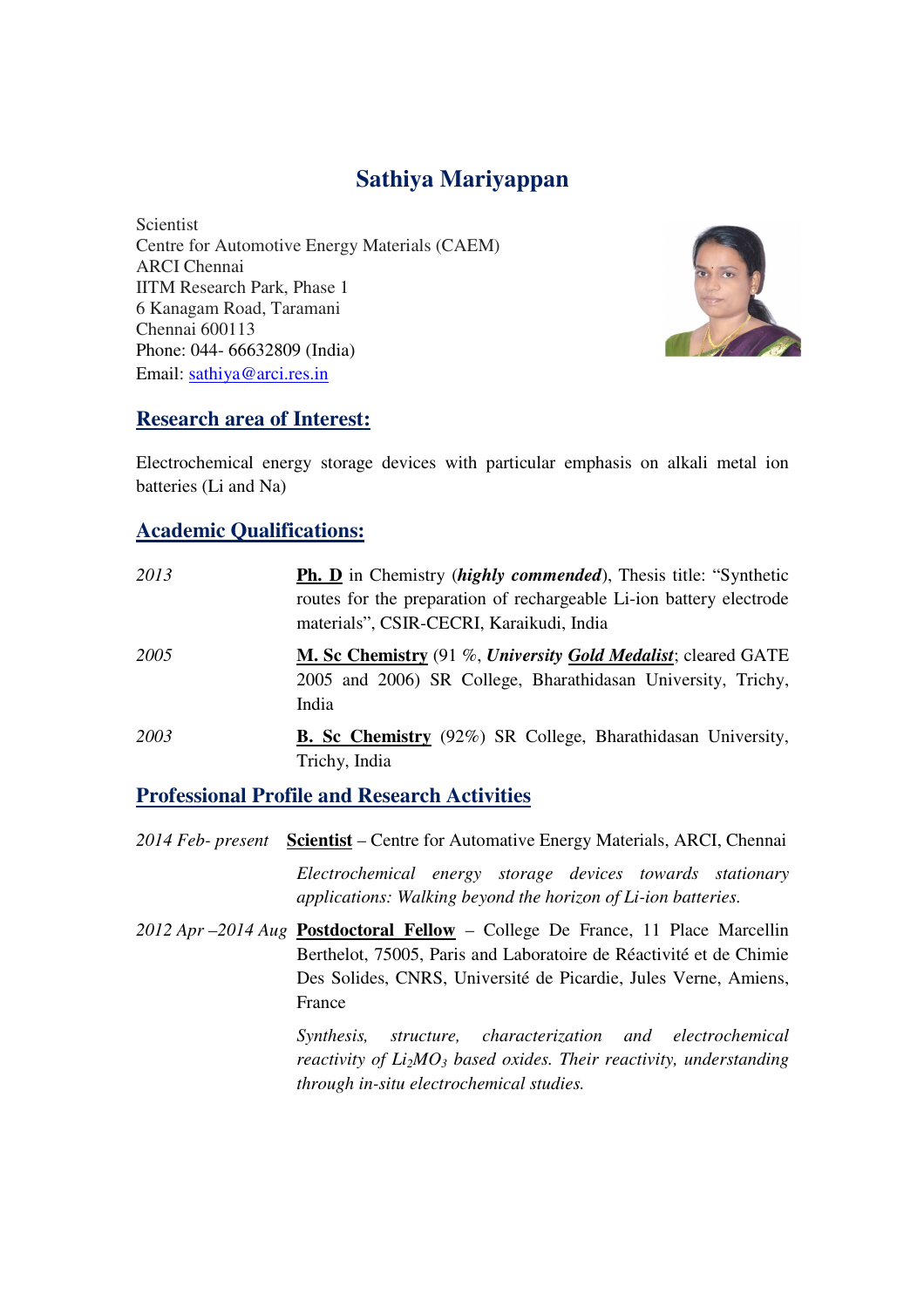# **Sathiya Mariyappan**

Scientist Centre for Automotive Energy Materials (CAEM) ARCI Chennai IITM Research Park, Phase 1 6 Kanagam Road, Taramani Chennai 600113 Phone: 044- 66632809 (India) Email: sathiya@arci.res.in



## **Research area of Interest:**

Electrochemical energy storage devices with particular emphasis on alkali metal ion batteries (Li and Na)

#### **Academic Qualifications:**

| 2013 | <b>Ph. D</b> in Chemistry <i>(highly commended)</i> , Thesis title: "Synthetic<br>routes for the preparation of rechargeable Li-ion battery electrode<br>materials", CSIR-CECRI, Karaikudi, India |
|------|---------------------------------------------------------------------------------------------------------------------------------------------------------------------------------------------------|
| 2005 | M. Sc Chemistry (91 %, University Gold Medalist; cleared GATE<br>2005 and 2006) SR College, Bharathidasan University, Trichy,<br>India                                                            |
| 2003 | <b>B. Sc Chemistry</b> (92%) SR College, Bharathidasan University,<br>Trichy, India                                                                                                               |

## **Professional Profile and Research Activities**

*2014 Feb- present* **Scientist** – Centre for Automative Energy Materials, ARCI, Chennai  *Electrochemical energy storage devices towards stationary applications: Walking beyond the horizon of Li-ion batteries. 2012 Apr –2014 Aug* **Postdoctoral Fellow** – College De France, 11 Place Marcellin Berthelot, 75005, Paris and Laboratoire de Réactivité et de Chimie Des Solides, CNRS, Université de Picardie, Jules Verne, Amiens, France

> *Synthesis, structure, characterization and electrochemical reactivity of Li2MO3 based oxides. Their reactivity, understanding through in-situ electrochemical studies.*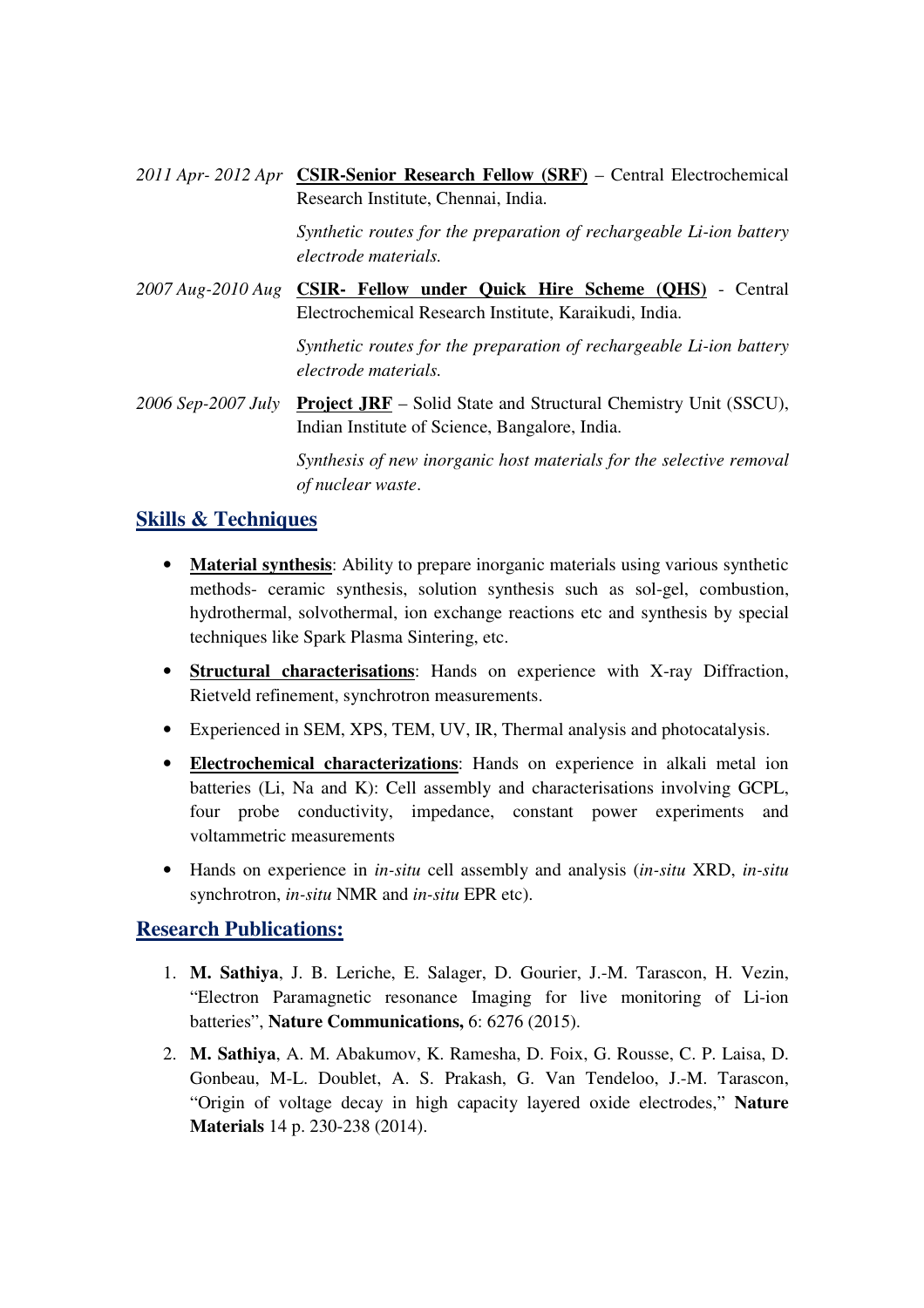*2011 Apr- 2012 Apr* **CSIR-Senior Research Fellow (SRF)** – Central Electrochemical Research Institute, Chennai, India.

> *Synthetic routes for the preparation of rechargeable Li-ion battery electrode materials.*

*2007 Aug-2010 Aug* **CSIR- Fellow under Quick Hire Scheme (QHS)** - Central Electrochemical Research Institute, Karaikudi, India.

> *Synthetic routes for the preparation of rechargeable Li-ion battery electrode materials.*

*2006 Sep-2007 July* **Project JRF** – Solid State and Structural Chemistry Unit (SSCU), Indian Institute of Science, Bangalore, India.

> *Synthesis of new inorganic host materials for the selective removal of nuclear waste*.

## **Skills & Techniques**

- **Material synthesis**: Ability to prepare inorganic materials using various synthetic methods- ceramic synthesis, solution synthesis such as sol-gel, combustion, hydrothermal, solvothermal, ion exchange reactions etc and synthesis by special techniques like Spark Plasma Sintering, etc.
- **Structural characterisations**: Hands on experience with X-ray Diffraction, Rietveld refinement, synchrotron measurements.
- Experienced in SEM, XPS, TEM, UV, IR, Thermal analysis and photocatalysis.
- **Electrochemical characterizations**: Hands on experience in alkali metal ion batteries (Li, Na and K): Cell assembly and characterisations involving GCPL, four probe conductivity, impedance, constant power experiments and voltammetric measurements
- Hands on experience in *in-situ* cell assembly and analysis (*in-situ* XRD, *in-situ* synchrotron, *in-situ* NMR and *in-situ* EPR etc).

## **Research Publications:**

- 1. **M. Sathiya**, J. B. Leriche, E. Salager, D. Gourier, J.-M. Tarascon, H. Vezin, "Electron Paramagnetic resonance Imaging for live monitoring of Li-ion batteries", **Nature Communications,** 6: 6276 (2015).
- 2. **M. Sathiya**, A. M. Abakumov, K. Ramesha, D. Foix, G. Rousse, C. P. Laisa, D. Gonbeau, M-L. Doublet, A. S. Prakash, G. Van Tendeloo, J.-M. Tarascon, "Origin of voltage decay in high capacity layered oxide electrodes," **Nature Materials** 14 p. 230-238 (2014).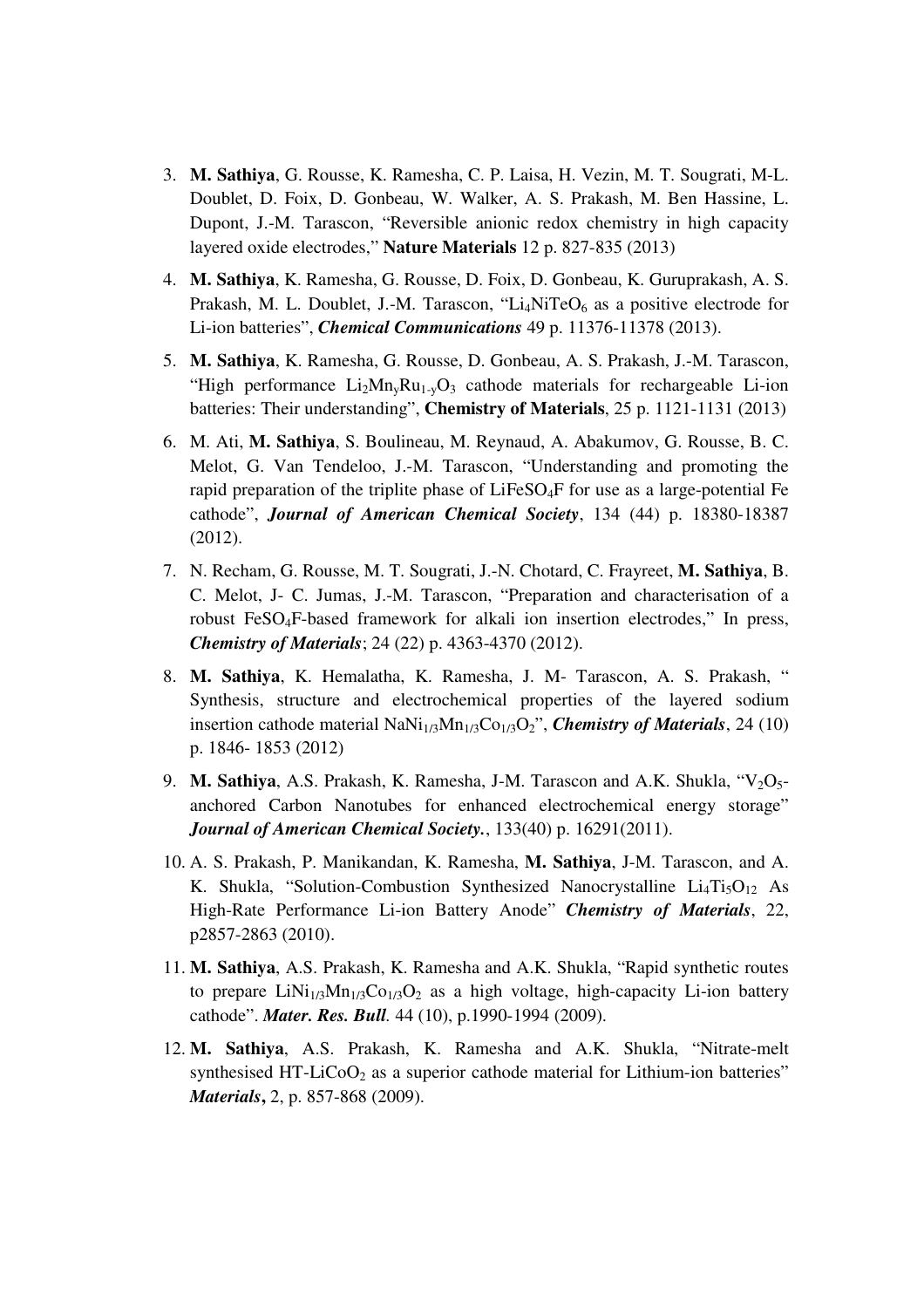- 3. **M. Sathiya**, G. Rousse, K. Ramesha, C. P. Laisa, H. Vezin, M. T. Sougrati, M-L. Doublet, D. Foix, D. Gonbeau, W. Walker, A. S. Prakash, M. Ben Hassine, L. Dupont, J.-M. Tarascon, "Reversible anionic redox chemistry in high capacity layered oxide electrodes," **Nature Materials** 12 p. 827-835 (2013)
- 4. **M. Sathiya**, K. Ramesha, G. Rousse, D. Foix, D. Gonbeau, K. Guruprakash, A. S. Prakash, M. L. Doublet, J.-M. Tarascon, "Li<sub>4</sub>NiTeO<sub>6</sub> as a positive electrode for Li-ion batteries", *Chemical Communications* 49 p. 11376-11378 (2013).
- 5. **M. Sathiya**, K. Ramesha, G. Rousse, D. Gonbeau, A. S. Prakash, J.-M. Tarascon, "High performance  $Li_2Mn_vRu_{1-v}O_3$  cathode materials for rechargeable Li-ion batteries: Their understanding", **Chemistry of Materials**, 25 p. 1121-1131 (2013)
- 6. M. Ati, **M. Sathiya**, S. Boulineau, M. Reynaud, A. Abakumov, G. Rousse, B. C. Melot, G. Van Tendeloo, J.-M. Tarascon, "Understanding and promoting the rapid preparation of the triplite phase of LiFeSO4F for use as a large-potential Fe cathode", *Journal of American Chemical Society*, 134 (44) p. 18380-18387 (2012).
- 7. N. Recham, G. Rousse, M. T. Sougrati, J.-N. Chotard, C. Frayreet, **M. Sathiya**, B. C. Melot, J- C. Jumas, J.-M. Tarascon, "Preparation and characterisation of a robust FeSO4F-based framework for alkali ion insertion electrodes," In press, *Chemistry of Materials*; 24 (22) p. 4363-4370 (2012).
- 8. **M. Sathiya**, K. Hemalatha, K. Ramesha, J. M- Tarascon, A. S. Prakash, " Synthesis, structure and electrochemical properties of the layered sodium insertion cathode material  $\text{NaNi}_{1/3}\text{Mn}_{1/3}\text{Co}_{1/3}\text{O}_2$ ", *Chemistry of Materials*, 24 (10) p. 1846- 1853 (2012)
- 9. **M. Sathiya**, A.S. Prakash, K. Ramesha, J-M. Tarascon and A.K. Shukla, "V<sub>2</sub>O<sub>5</sub>anchored Carbon Nanotubes for enhanced electrochemical energy storage" *Journal of American Chemical Society.*, 133(40) p. 16291(2011).
- 10. A. S. Prakash, P. Manikandan, K. Ramesha, **M. Sathiya**, J-M. Tarascon, and A. K. Shukla, "Solution-Combustion Synthesized Nanocrystalline  $Li<sub>4</sub>Ti<sub>5</sub>O<sub>12</sub>$  As High-Rate Performance Li-ion Battery Anode" *Chemistry of Materials*, 22, p2857-2863 (2010).
- 11. **M. Sathiya**, A.S. Prakash, K. Ramesha and A.K. Shukla, "Rapid synthetic routes to prepare  $LiNi<sub>1/3</sub>Mn<sub>1/3</sub>Co<sub>1/3</sub>O<sub>2</sub>$  as a high voltage, high-capacity Li-ion battery cathode". *Mater. Res. Bull.* 44 (10), p.1990-1994 (2009).
- 12. **M. Sathiya**, A.S. Prakash, K. Ramesha and A.K. Shukla, "Nitrate-melt synthesised HT-LiCoO<sub>2</sub> as a superior cathode material for Lithium-ion batteries" *Materials***,** 2, p. 857-868 (2009).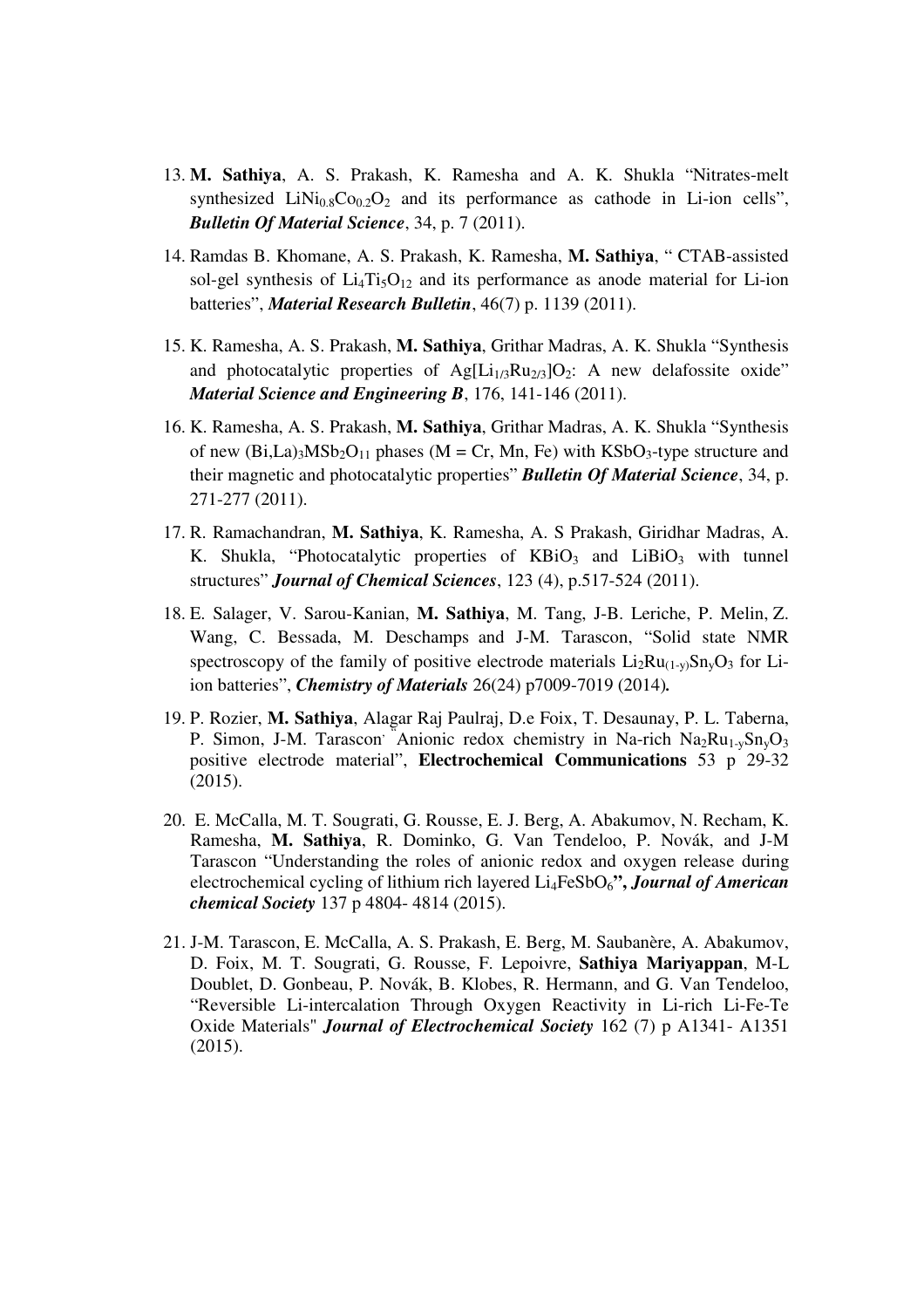- 13. **M. Sathiya**, A. S. Prakash, K. Ramesha and A. K. Shukla "Nitrates-melt synthesized  $LiNi<sub>0.8</sub>Co<sub>0.2</sub>O<sub>2</sub>$  and its performance as cathode in Li-ion cells", *Bulletin Of Material Science*, 34, p. 7 (2011).
- 14. Ramdas B. Khomane, A. S. Prakash, K. Ramesha, **M. Sathiya**, " CTAB-assisted sol-gel synthesis of  $Li<sub>4</sub>Ti<sub>5</sub>O<sub>12</sub>$  and its performance as anode material for Li-ion batteries", *Material Research Bulletin*, 46(7) p. 1139 (2011).
- 15. K. Ramesha, A. S. Prakash, **M. Sathiya**, Grithar Madras, A. K. Shukla "Synthesis and photocatalytic properties of  $Ag[L_{1/3}Ru_{2/3}]O_2$ : A new delafossite oxide" *Material Science and Engineering B*, 176, 141-146 (2011).
- 16. K. Ramesha, A. S. Prakash, **M. Sathiya**, Grithar Madras, A. K. Shukla "Synthesis of new  $(Bi,La)3MSb_2O_{11}$  phases  $(M = Cr, Mn, Fe)$  with  $KSbO_3$ -type structure and their magnetic and photocatalytic properties" *Bulletin Of Material Science*, 34, p. 271-277 (2011).
- 17. R. Ramachandran, **M. Sathiya**, K. Ramesha, A. S Prakash, Giridhar Madras, A. K. Shukla, "Photocatalytic properties of KBiO<sub>3</sub> and LiBiO<sub>3</sub> with tunnel structures" *Journal of Chemical Sciences*, 123 (4), p.517-524 (2011).
- 18. E. Salager, V. Sarou-Kanian, **M. Sathiya**, M. Tang, J-B. Leriche, P. Melin, Z. Wang, C. Bessada, M. Deschamps and J-M. Tarascon, "Solid state NMR spectroscopy of the family of positive electrode materials  $Li_2Ru_{(1-v)}Sn_vO_3$  for Liion batteries", *Chemistry of Materials* 26(24) p7009-7019 (2014)*.*
- 19. P. Rozier, **M. Sathiya**, Alagar Raj Paulraj, D.e Foix, T. Desaunay, P. L. Taberna, P. Simon, J-M. Tarascon<sup>, "</sup>Anionic redox chemistry in Na-rich  $Na<sub>2</sub>Ru<sub>1-v</sub>Sn<sub>v</sub>O<sub>3</sub>$ positive electrode material", **Electrochemical Communications** 53 p 29-32 (2015).
- 20. E. McCalla, M. T. Sougrati, G. Rousse, E. J. Berg, A. Abakumov, N. Recham, K. Ramesha, **M. Sathiya**, R. Dominko, G. Van Tendeloo, P. Novák, and J-M Tarascon "Understanding the roles of anionic redox and oxygen release during electrochemical cycling of lithium rich layered Li4FeSbO6**",** *Journal of American chemical Society* 137 p 4804- 4814 (2015).
- 21. J-M. Tarascon, E. McCalla, A. S. Prakash, E. Berg, M. Saubanère, A. Abakumov, D. Foix, M. T. Sougrati, G. Rousse, F. Lepoivre, **Sathiya Mariyappan**, M-L Doublet, D. Gonbeau, P. Novák, B. Klobes, R. Hermann, and G. Van Tendeloo, "Reversible Li-intercalation Through Oxygen Reactivity in Li-rich Li-Fe-Te Oxide Materials" *Journal of Electrochemical Society* 162 (7) p A1341- A1351 (2015).